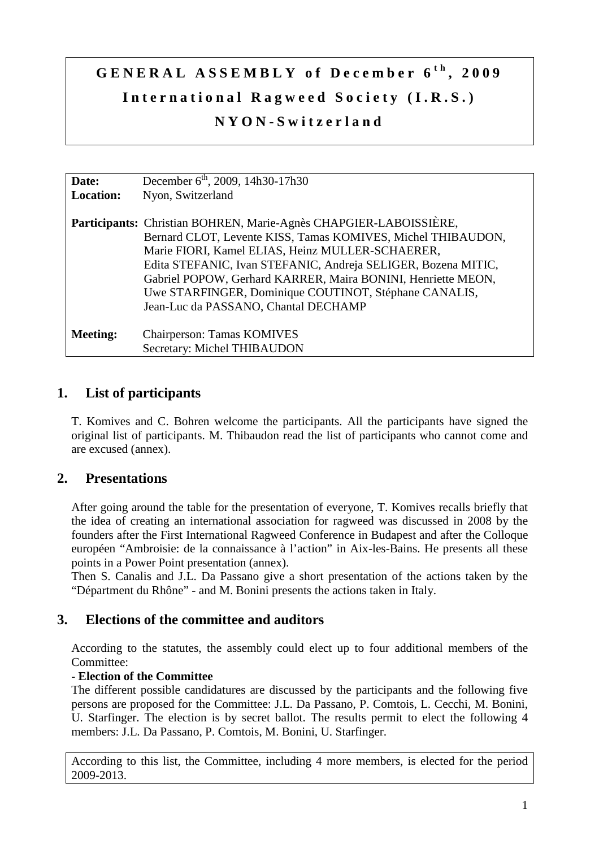# **G E N E R A L A S S E M B L Y o f D e c e m b e r 6 t h , 2 0 0 9**  International Ragweed Society (I.R.S.) **N Y O N - S w i t z e r l a n d**

| Date:           | December $6^{\text{th}}$ , 2009, 14h30-17h30                      |
|-----------------|-------------------------------------------------------------------|
| Location:       | Nyon, Switzerland                                                 |
|                 | Participants: Christian BOHREN, Marie-Agnès CHAPGIER-LABOISSIÈRE, |
|                 | Bernard CLOT, Levente KISS, Tamas KOMIVES, Michel THIBAUDON,      |
|                 | Marie FIORI, Kamel ELIAS, Heinz MULLER-SCHAERER,                  |
|                 | Edita STEFANIC, Ivan STEFANIC, Andreja SELIGER, Bozena MITIC,     |
|                 | Gabriel POPOW, Gerhard KARRER, Maira BONINI, Henriette MEON,      |
|                 | Uwe STARFINGER, Dominique COUTINOT, Stéphane CANALIS,             |
|                 | Jean-Luc da PASSANO, Chantal DECHAMP                              |
|                 |                                                                   |
| <b>Meeting:</b> | Chairperson: Tamas KOMIVES                                        |
|                 | Secretary: Michel THIBAUDON                                       |

# **1. List of participants**

T. Komives and C. Bohren welcome the participants. All the participants have signed the original list of participants. M. Thibaudon read the list of participants who cannot come and are excused (annex).

# **2. Presentations**

After going around the table for the presentation of everyone, T. Komives recalls briefly that the idea of creating an international association for ragweed was discussed in 2008 by the founders after the First International Ragweed Conference in Budapest and after the Colloque européen "Ambroisie: de la connaissance à l'action" in Aix-les-Bains. He presents all these points in a Power Point presentation (annex).

Then S. Canalis and J.L. Da Passano give a short presentation of the actions taken by the "Départment du Rhône" - and M. Bonini presents the actions taken in Italy.

## **3. Elections of the committee and auditors**

According to the statutes, the assembly could elect up to four additional members of the Committee:

#### **- Election of the Committee**

The different possible candidatures are discussed by the participants and the following five persons are proposed for the Committee: J.L. Da Passano, P. Comtois, L. Cecchi, M. Bonini, U. Starfinger. The election is by secret ballot. The results permit to elect the following 4 members: J.L. Da Passano, P. Comtois, M. Bonini, U. Starfinger.

According to this list, the Committee, including 4 more members, is elected for the period 2009-2013.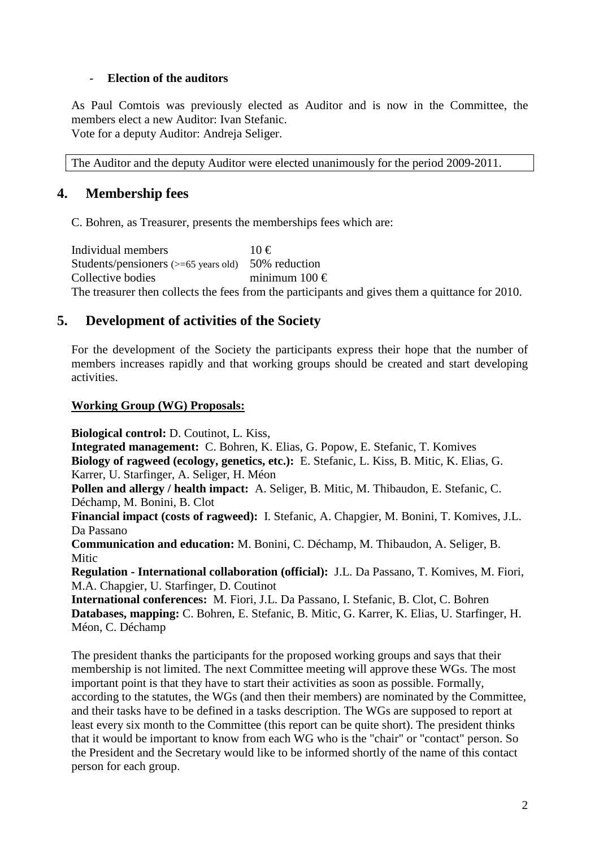#### - **Election of the auditors**

As Paul Comtois was previously elected as Auditor and is now in the Committee, the members elect a new Auditor: Ivan Stefanic. Vote for a deputy Auditor: Andreja Seliger.

The Auditor and the deputy Auditor were elected unanimously for the period 2009-2011.

## **4. Membership fees**

C. Bohren, as Treasurer, presents the memberships fees which are:

Individual members  $10 \in$ Students/pensioners  $(>= 65$  years old) 50% reduction Collective bodies minimum  $100 \in$ The treasurer then collects the fees from the participants and gives them a quittance for 2010.

## **5. Development of activities of the Society**

For the development of the Society the participants express their hope that the number of members increases rapidly and that working groups should be created and start developing activities.

#### **Working Group (WG) Proposals:**

**Biological control:** D. Coutinot, L. Kiss,

**Integrated management:** C. Bohren, K. Elias, G. Popow, E. Stefanic, T. Komives **Biology of ragweed (ecology, genetics, etc.):** E. Stefanic, L. Kiss, B. Mitic, K. Elias, G. Karrer, U. Starfinger, A. Seliger, H. Méon

**Pollen and allergy / health impact:** A. Seliger, B. Mitic, M. Thibaudon, E. Stefanic, C. Déchamp, M. Bonini, B. Clot

**Financial impact (costs of ragweed):** I. Stefanic, A. Chapgier, M. Bonini, T. Komives, J.L. Da Passano

**Communication and education:** M. Bonini, C. Déchamp, M. Thibaudon, A. Seliger, B. **Mitic** 

**Regulation - International collaboration (official):** J.L. Da Passano, T. Komives, M. Fiori, M.A. Chapgier, U. Starfinger, D. Coutinot

**International conferences:** M. Fiori, J.L. Da Passano, I. Stefanic, B. Clot, C. Bohren **Databases, mapping:** C. Bohren, E. Stefanic, B. Mitic, G. Karrer, K. Elias, U. Starfinger, H. Méon, C. Déchamp

The president thanks the participants for the proposed working groups and says that their membership is not limited. The next Committee meeting will approve these WGs. The most important point is that they have to start their activities as soon as possible. Formally, according to the statutes, the WGs (and then their members) are nominated by the Committee, and their tasks have to be defined in a tasks description. The WGs are supposed to report at least every six month to the Committee (this report can be quite short). The president thinks that it would be important to know from each WG who is the "chair" or "contact" person. So the President and the Secretary would like to be informed shortly of the name of this contact person for each group.